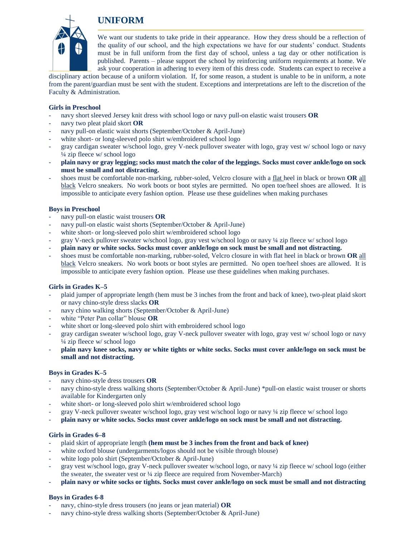



We want our students to take pride in their appearance. How they dress should be a reflection of the quality of our school, and the high expectations we have for our students' conduct. Students must be in full uniform from the first day of school, unless a tag day or other notification is published. Parents – please support the school by reinforcing uniform requirements at home. We ask your cooperation in adhering to every item of this dress code. Students can expect to receive a

disciplinary action because of a uniform violation. If, for some reason, a student is unable to be in uniform, a note from the parent/guardian must be sent with the student. Exceptions and interpretations are left to the discretion of the Faculty & Administration.

## **Girls in Preschool**

- navy short sleeved Jersey knit dress with school logo or navy pull-on elastic waist trousers **OR**
- navy two pleat plaid skort OR
- navy pull-on elastic waist shorts (September/October & April-June)
- white short- or long-sleeved polo shirt w/embroidered school logo
- gray cardigan sweater w/school logo, grey V-neck pullover sweater with logo, gray vest w/ school logo or navy ¼ zip fleece w/ school logo
- **plain navy or gray legging; socks must match the color of the leggings. Socks must cover ankle/logo on sock must be small and not distracting.**
- shoes must be comfortable non-marking, rubber-soled, Velcro closure with a flat heel in black or brown **OR** all black Velcro sneakers. No work boots or boot styles are permitted. No open toe/heel shoes are allowed. It is impossible to anticipate every fashion option. Please use these guidelines when making purchases

## **Boys in Preschool**

- navy pull-on elastic waist trousers OR
- navy pull-on elastic waist shorts (September/October & April-June)
- white short- or long-sleeved polo shirt w/embroidered school logo
- gray V-neck pullover sweater w/school logo, gray vest w/school logo or navy ¼ zip fleece w/ school logo
- **plain navy or white socks. Socks must cover ankle/logo on sock must be small and not distracting.**
- shoes must be comfortable non-marking, rubber-soled, Velcro closure in with flat heel in black or brown **OR** all black Velcro sneakers. No work boots or boot styles are permitted. No open toe/heel shoes are allowed. It is impossible to anticipate every fashion option. Please use these guidelines when making purchases.

## **Girls in Grades K–5**

- plaid jumper of appropriate length (hem must be 3 inches from the front and back of knee), two-pleat plaid skort or navy chino-style dress slacks **OR**
- navy chino walking shorts (September/October & April-June)
- white "Peter Pan collar" blouse **OR**
- white short or long-sleeved polo shirt with embroidered school logo
- gray cardigan sweater w/school logo, gray V-neck pullover sweater with logo, gray vest w/ school logo or navy ¼ zip fleece w/ school logo
- **plain navy knee socks, navy or white tights or white socks. Socks must cover ankle/logo on sock must be small and not distracting.**

## **Boys in Grades K–5**

- navy chino-style dress trousers OR
- navy chino-style dress walking shorts (September/October & April-June) \*pull-on elastic waist trouser or shorts available for Kindergarten only
- white short- or long-sleeved polo shirt w/embroidered school logo
- gray V-neck pullover sweater w/school logo, gray vest w/school logo or navy ¼ zip fleece w/ school logo
- **plain navy or white socks. Socks must cover ankle/logo on sock must be small and not distracting.**

## **Girls in Grades 6–8**

- plaid skirt of appropriate length **(hem must be 3 inches from the front and back of knee)**
- white oxford blouse (undergarments/logos should not be visible through blouse)
- white logo polo shirt (September/October & April-June)
- gray vest w/school logo, gray V-neck pullover sweater w/school logo, or navy ¼ zip fleece w/ school logo (either the sweater, the sweater vest or ¼ zip fleece are required from November-March)
- **plain navy or white socks or tights. Socks must cover ankle/logo on sock must be small and not distracting**

# **Boys in Grades 6-8**

- navy, chino-style dress trousers (no jeans or jean material) **OR**
- navy chino-style dress walking shorts (September/October & April-June)